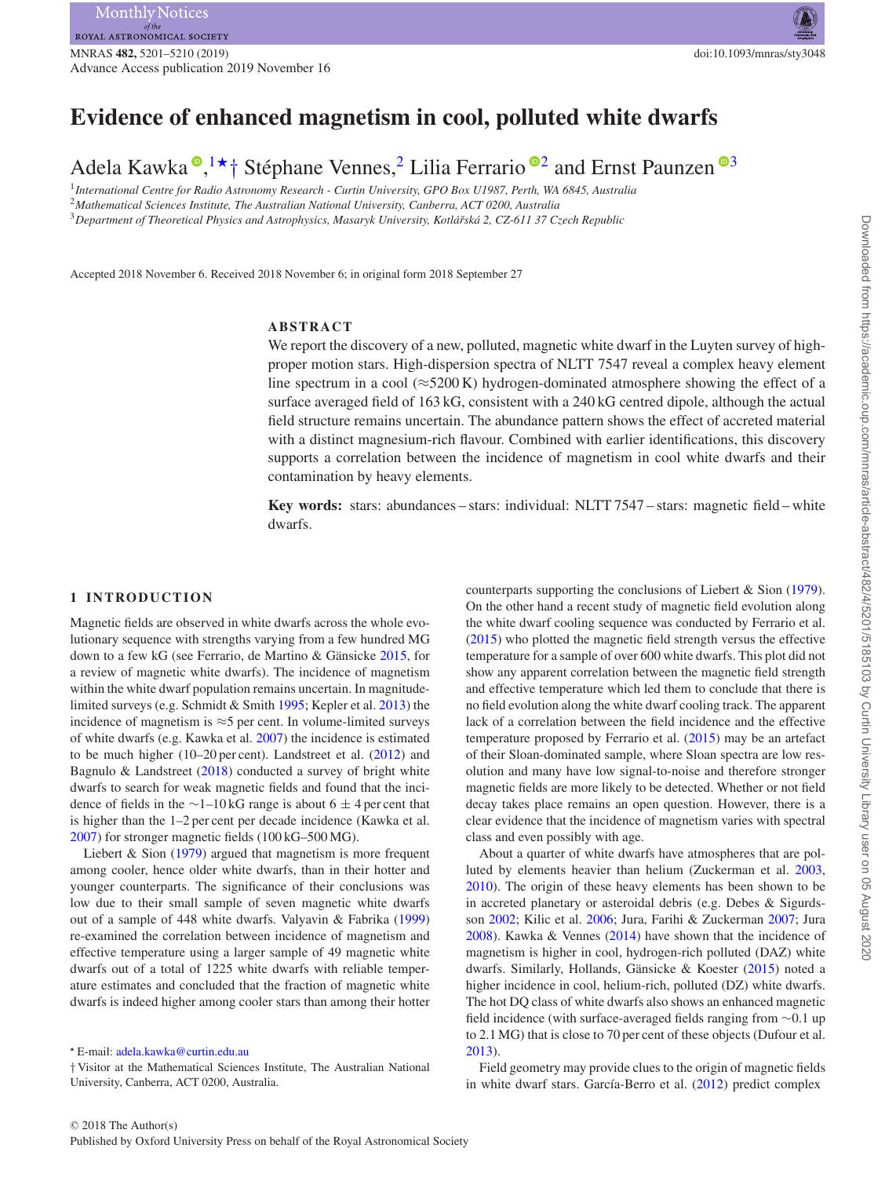# **Evidence of enhanced magnetism in cool, polluted white dwarfs**

Adela Kawka  $\bullet, 1 \star \dagger$  $\bullet, 1 \star \dagger$  $\bullet, 1 \star \dagger$  $\bullet, 1 \star \dagger$  $\bullet, 1 \star \dagger$  Stéphane Vennes,<sup>[2](#page-0-2)</sup> Lilia Ferrario  $\bullet$ <sup>2</sup> and Ernst Paunzen  $\bullet$ <sup>[3](#page-0-3)</sup>

<span id="page-0-2"></span><span id="page-0-0"></span><sup>1</sup>*International Centre for Radio Astronomy Research - Curtin University, GPO Box U1987, Perth, WA 6845, Australia* <sup>2</sup>*Mathematical Sciences Institute, The Australian National University, Canberra, ACT 0200, Australia* <sup>3</sup>*Department of Theoretical Physics and Astrophysics, Masaryk University, Kotla´rsk ˇ a 2, CZ-611 37 Czech Republic ´*

<span id="page-0-3"></span>

Accepted 2018 November 6. Received 2018 November 6; in original form 2018 September 27

## **ABSTRACT**

We report the discovery of a new, polluted, magnetic white dwarf in the Luyten survey of highproper motion stars. High-dispersion spectra of NLTT 7547 reveal a complex heavy element line spectrum in a cool ( $\approx$ 5200 K) hydrogen-dominated atmosphere showing the effect of a surface averaged field of 163 kG, consistent with a 240 kG centred dipole, although the actual field structure remains uncertain. The abundance pattern shows the effect of accreted material with a distinct magnesium-rich flavour. Combined with earlier identifications, this discovery supports a correlation between the incidence of magnetism in cool white dwarfs and their contamination by heavy elements.

**Key words:** stars: abundances – stars: individual: NLTT 7547 – stars: magnetic field – white dwarfs.

#### **1 INTRODUCTION**

Magnetic fields are observed in white dwarfs across the whole evolutionary sequence with strengths varying from a few hundred MG down to a few kG (see Ferrario, de Martino & Gänsicke  $2015$ , for a review of magnetic white dwarfs). The incidence of magnetism within the white dwarf population remains uncertain. In magnitudelimited surveys (e.g. Schmidt & Smith [1995;](#page-9-1) Kepler et al. [2013\)](#page-9-2) the incidence of magnetism is ≈5 per cent. In volume-limited surveys of white dwarfs (e.g. Kawka et al. [2007\)](#page-9-3) the incidence is estimated to be much higher (10–20 per cent). Landstreet et al. [\(2012\)](#page-9-4) and Bagnulo & Landstreet [\(2018\)](#page-8-0) conducted a survey of bright white dwarfs to search for weak magnetic fields and found that the incidence of fields in the ∼1–10 kG range is about 6  $\pm$  4 per cent that is higher than the 1–2 per cent per decade incidence (Kawka et al. [2007\)](#page-9-3) for stronger magnetic fields (100 kG–500 MG).

Liebert & Sion [\(1979\)](#page-9-5) argued that magnetism is more frequent among cooler, hence older white dwarfs, than in their hotter and younger counterparts. The significance of their conclusions was low due to their small sample of seven magnetic white dwarfs out of a sample of 448 white dwarfs. Valyavin & Fabrika [\(1999\)](#page-9-6) re-examined the correlation between incidence of magnetism and effective temperature using a larger sample of 49 magnetic white dwarfs out of a total of 1225 white dwarfs with reliable temperature estimates and concluded that the fraction of magnetic white dwarfs is indeed higher among cooler stars than among their hotter

† Visitor at the Mathematical Sciences Institute, The Australian National University, Canberra, ACT 0200, Australia.

counterparts supporting the conclusions of Liebert & Sion [\(1979\)](#page-9-5). On the other hand a recent study of magnetic field evolution along the white dwarf cooling sequence was conducted by Ferrario et al. [\(2015\)](#page-9-0) who plotted the magnetic field strength versus the effective temperature for a sample of over 600 white dwarfs. This plot did not show any apparent correlation between the magnetic field strength and effective temperature which led them to conclude that there is no field evolution along the white dwarf cooling track. The apparent lack of a correlation between the field incidence and the effective temperature proposed by Ferrario et al. [\(2015\)](#page-9-0) may be an artefact of their Sloan-dominated sample, where Sloan spectra are low resolution and many have low signal-to-noise and therefore stronger magnetic fields are more likely to be detected. Whether or not field decay takes place remains an open question. However, there is a clear evidence that the incidence of magnetism varies with spectral class and even possibly with age.

About a quarter of white dwarfs have atmospheres that are polluted by elements heavier than helium (Zuckerman et al. [2003,](#page-9-7) [2010\)](#page-9-8). The origin of these heavy elements has been shown to be in accreted planetary or asteroidal debris (e.g. Debes & Sigurdsson [2002;](#page-9-9) Kilic et al. [2006;](#page-9-10) Jura, Farihi & Zuckerman [2007;](#page-9-11) Jura [2008\)](#page-9-12). Kawka & Vennes [\(2014\)](#page-9-13) have shown that the incidence of magnetism is higher in cool, hydrogen-rich polluted (DAZ) white dwarfs. Similarly, Hollands, Gänsicke & Koester ([2015\)](#page-9-14) noted a higher incidence in cool, helium-rich, polluted (DZ) white dwarfs. The hot DQ class of white dwarfs also shows an enhanced magnetic field incidence (with surface-averaged fields ranging from ∼0.1 up to 2.1 MG) that is close to 70 per cent of these objects (Dufour et al. [2013\)](#page-9-15).

Field geometry may provide clues to the origin of magnetic fields in white dwarf stars. García-Berro et al. [\(2012\)](#page-9-16) predict complex

<span id="page-0-1"></span>*<sup>-</sup>* E-mail: [adela.kawka@curtin.edu.au](mailto:adela.kawka@curtin.edu.au)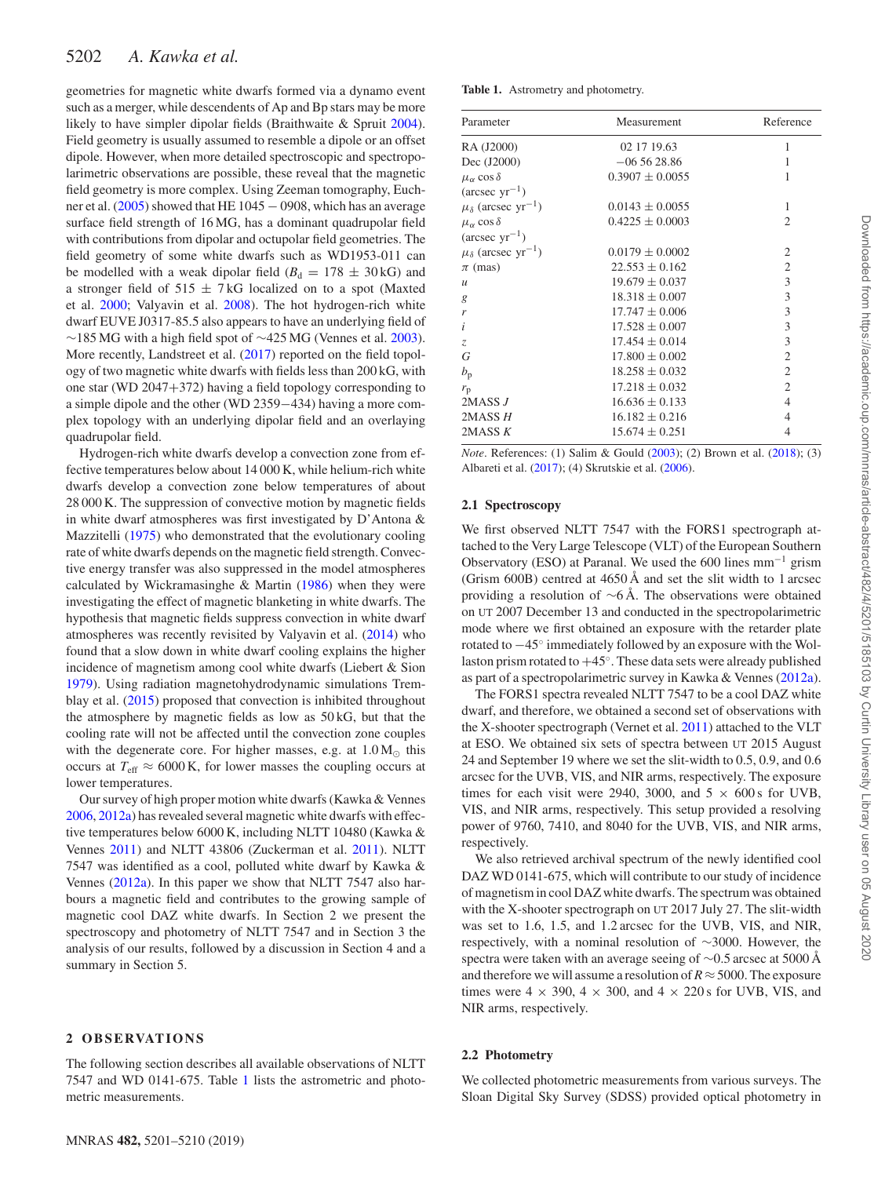geometries for magnetic white dwarfs formed via a dynamo event such as a merger, while descendents of Ap and Bp stars may be more likely to have simpler dipolar fields (Braithwaite & Spruit [2004\)](#page-8-1). Field geometry is usually assumed to resemble a dipole or an offset dipole. However, when more detailed spectroscopic and spectropolarimetric observations are possible, these reveal that the magnetic field geometry is more complex. Using Zeeman tomography, Euch-ner et al. [\(2005\)](#page-9-17) showed that HE 1045 − 0908, which has an average surface field strength of 16 MG, has a dominant quadrupolar field with contributions from dipolar and octupolar field geometries. The field geometry of some white dwarfs such as WD1953-011 can be modelled with a weak dipolar field  $(B_d = 178 \pm 30 \text{ kG})$  and a stronger field of  $515 \pm 7$  kG localized on to a spot (Maxted et al. [2000;](#page-9-18) Valyavin et al. [2008\)](#page-9-19). The hot hydrogen-rich white dwarf EUVE J0317-85.5 also appears to have an underlying field of ∼185 MG with a high field spot of ∼425 MG (Vennes et al. [2003\)](#page-9-20). More recently, Landstreet et al. [\(2017\)](#page-9-21) reported on the field topology of two magnetic white dwarfs with fields less than 200 kG, with one star (WD 2047+372) having a field topology corresponding to a simple dipole and the other (WD 2359−434) having a more complex topology with an underlying dipolar field and an overlaying quadrupolar field.

Hydrogen-rich white dwarfs develop a convection zone from effective temperatures below about 14 000 K, while helium-rich white dwarfs develop a convection zone below temperatures of about 28 000 K. The suppression of convective motion by magnetic fields in white dwarf atmospheres was first investigated by D'Antona & Mazzitelli [\(1975\)](#page-9-22) who demonstrated that the evolutionary cooling rate of white dwarfs depends on the magnetic field strength. Convective energy transfer was also suppressed in the model atmospheres calculated by Wickramasinghe & Martin [\(1986\)](#page-9-23) when they were investigating the effect of magnetic blanketing in white dwarfs. The hypothesis that magnetic fields suppress convection in white dwarf atmospheres was recently revisited by Valyavin et al. [\(2014\)](#page-9-24) who found that a slow down in white dwarf cooling explains the higher incidence of magnetism among cool white dwarfs (Liebert & Sion [1979\)](#page-9-5). Using radiation magnetohydrodynamic simulations Tremblay et al. [\(2015\)](#page-9-25) proposed that convection is inhibited throughout the atmosphere by magnetic fields as low as 50 kG, but that the cooling rate will not be affected until the convection zone couples with the degenerate core. For higher masses, e.g. at  $1.0 M_{\odot}$  this occurs at  $T_{\text{eff}} \approx 6000 \text{ K}$ , for lower masses the coupling occurs at lower temperatures.

Our survey of high proper motion white dwarfs (Kawka & Vennes [2006,](#page-9-26) [2012a\)](#page-9-27) has revealed several magnetic white dwarfs with effective temperatures below 6000 K, including NLTT 10480 (Kawka & Vennes [2011\)](#page-9-28) and NLTT 43806 (Zuckerman et al. [2011\)](#page-9-29). NLTT 7547 was identified as a cool, polluted white dwarf by Kawka & Vennes [\(2012a\)](#page-9-27). In this paper we show that NLTT 7547 also harbours a magnetic field and contributes to the growing sample of magnetic cool DAZ white dwarfs. In Section 2 we present the spectroscopy and photometry of NLTT 7547 and in Section 3 the analysis of our results, followed by a discussion in Section 4 and a summary in Section 5.

### **2 OB SE RVAT IO N S**

The following section describes all available observations of NLTT 7547 and WD 0141-675. Table [1](#page-1-0) lists the astrometric and photometric measurements.

<span id="page-1-0"></span>

| Parameter                                 | Measurement         | Reference      |  |
|-------------------------------------------|---------------------|----------------|--|
| RA (J2000)                                | 02 17 19.63         | 1              |  |
| Dec (J2000)                               | $-065628.86$        | 1              |  |
| $\mu_{\alpha}$ cos $\delta$               | $0.3907 \pm 0.0055$ | 1              |  |
| $(\text{arcsec} \, \text{yr}^{-1})$       |                     |                |  |
| $\mu_{\delta}$ (arcsec yr <sup>-1</sup> ) | $0.0143 \pm 0.0055$ | 1              |  |
| $\mu_{\alpha}$ cos $\delta$               | $0.4225 \pm 0.0003$ | $\overline{c}$ |  |
| $(\text{arcsec yr}^{-1})$                 |                     |                |  |
| $\mu_{\delta}$ (arcsec yr <sup>-1</sup> ) | $0.0179 \pm 0.0002$ | $\overline{2}$ |  |
| $\pi$ (mas)                               | $22.553 \pm 0.162$  | $\mathfrak{2}$ |  |
| $\mathcal{U}$                             | $19.679 \pm 0.037$  | $\mathfrak{Z}$ |  |
| g                                         | $18.318 \pm 0.007$  | 3              |  |
| r                                         | $17.747 \pm 0.006$  | 3              |  |
| i                                         | $17.528 \pm 0.007$  | 3              |  |
| Z,                                        | $17.454 \pm 0.014$  | 3              |  |
| G                                         | $17.800 \pm 0.002$  | $\overline{2}$ |  |
| $b_{\rm p}$                               | $18.258 \pm 0.032$  | $\overline{2}$ |  |
| $r_{\rm p}$                               | $17.218 \pm 0.032$  | $\overline{2}$ |  |
| 2MASSJ                                    | $16.636 \pm 0.133$  | $\overline{4}$ |  |
| 2MASS H                                   | $16.182 \pm 0.216$  | $\overline{4}$ |  |
| 2MASS <i>K</i>                            | $15.674 \pm 0.251$  | $\overline{4}$ |  |

*Note*. References: (1) Salim & Gould [\(2003\)](#page-9-30); (2) Brown et al. [\(2018\)](#page-9-31); (3) Albareti et al. [\(2017\)](#page-8-2); (4) Skrutskie et al. [\(2006\)](#page-9-32).

#### **2.1 Spectroscopy**

We first observed NLTT 7547 with the FORS1 spectrograph attached to the Very Large Telescope (VLT) of the European Southern Observatory (ESO) at Paranal. We used the 600 lines mm−<sup>1</sup> grism (Grism 600B) centred at 4650 Å and set the slit width to 1 arcsec providing a resolution of ∼6 Å. The observations were obtained on UT 2007 December 13 and conducted in the spectropolarimetric mode where we first obtained an exposure with the retarder plate rotated to −45◦ immediately followed by an exposure with the Wollaston prism rotated to  $+45^\circ$ . These data sets were already published as part of a spectropolarimetric survey in Kawka & Vennes [\(2012a\)](#page-9-27).

The FORS1 spectra revealed NLTT 7547 to be a cool DAZ white dwarf, and therefore, we obtained a second set of observations with the X-shooter spectrograph (Vernet et al. [2011\)](#page-9-33) attached to the VLT at ESO. We obtained six sets of spectra between UT 2015 August 24 and September 19 where we set the slit-width to 0.5, 0.9, and 0.6 arcsec for the UVB, VIS, and NIR arms, respectively. The exposure times for each visit were 2940, 3000, and  $5 \times 600$  s for UVB, VIS, and NIR arms, respectively. This setup provided a resolving power of 9760, 7410, and 8040 for the UVB, VIS, and NIR arms, respectively.

We also retrieved archival spectrum of the newly identified cool DAZ WD 0141-675, which will contribute to our study of incidence of magnetism in cool DAZ white dwarfs. The spectrum was obtained with the X-shooter spectrograph on UT 2017 July 27. The slit-width was set to 1.6, 1.5, and 1.2 arcsec for the UVB, VIS, and NIR, respectively, with a nominal resolution of ∼3000. However, the spectra were taken with an average seeing of ∼0.5 arcsec at 5000 Å and therefore we will assume a resolution of  $R \approx 5000$ . The exposure times were  $4 \times 390$ ,  $4 \times 300$ , and  $4 \times 220$  s for UVB, VIS, and NIR arms, respectively.

#### **2.2 Photometry**

We collected photometric measurements from various surveys. The Sloan Digital Sky Survey (SDSS) provided optical photometry in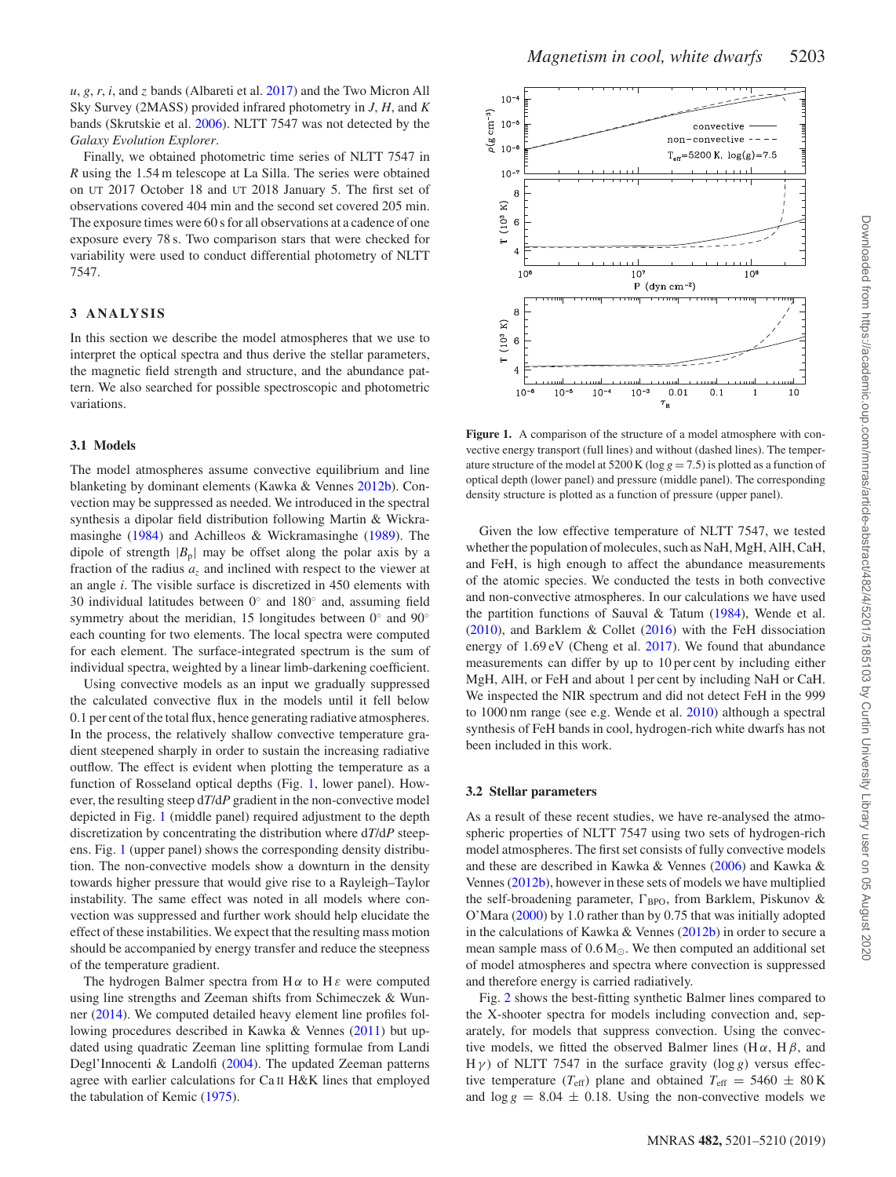$u, g, r, i$ , and  $z$  bands (Albareti et al. [2017\)](#page-8-2) and the Two Micron All Sky Survey (2MASS) provided infrared photometry in *J*, *H*, and *K* bands (Skrutskie et al. [2006\)](#page-9-32). NLTT 7547 was not detected by the *Galaxy Evolution Explorer*.

Finally, we obtained photometric time series of NLTT 7547 in *R* using the 1.54 m telescope at La Silla. The series were obtained on UT 2017 October 18 and UT 2018 January 5. The first set of observations covered 404 min and the second set covered 205 min. The exposure times were 60 s for all observations at a cadence of one exposure every 78 s. Two comparison stars that were checked for variability were used to conduct differential photometry of NLTT 7547.

#### **3 ANALYSIS**

In this section we describe the model atmospheres that we use to interpret the optical spectra and thus derive the stellar parameters, the magnetic field strength and structure, and the abundance pattern. We also searched for possible spectroscopic and photometric variations.

#### **3.1 Models**

The model atmospheres assume convective equilibrium and line blanketing by dominant elements (Kawka & Vennes [2012b\)](#page-9-34). Convection may be suppressed as needed. We introduced in the spectral synthesis a dipolar field distribution following Martin & Wickramasinghe [\(1984\)](#page-9-35) and Achilleos & Wickramasinghe [\(1989\)](#page-8-3). The dipole of strength  $|B_p|$  may be offset along the polar axis by a fraction of the radius  $a<sub>z</sub>$  and inclined with respect to the viewer at an angle *i*. The visible surface is discretized in 450 elements with 30 individual latitudes between 0◦ and 180◦ and, assuming field symmetry about the meridian, 15 longitudes between 0° and 90° each counting for two elements. The local spectra were computed for each element. The surface-integrated spectrum is the sum of individual spectra, weighted by a linear limb-darkening coefficient.

Using convective models as an input we gradually suppressed the calculated convective flux in the models until it fell below 0.1 per cent of the total flux, hence generating radiative atmospheres. In the process, the relatively shallow convective temperature gradient steepened sharply in order to sustain the increasing radiative outflow. The effect is evident when plotting the temperature as a function of Rosseland optical depths (Fig. [1,](#page-2-0) lower panel). However, the resulting steep d*T*/d*P* gradient in the non-convective model depicted in Fig. [1](#page-2-0) (middle panel) required adjustment to the depth discretization by concentrating the distribution where d*T*/d*P* steepens. Fig. [1](#page-2-0) (upper panel) shows the corresponding density distribution. The non-convective models show a downturn in the density towards higher pressure that would give rise to a Rayleigh–Taylor instability. The same effect was noted in all models where convection was suppressed and further work should help elucidate the effect of these instabilities. We expect that the resulting mass motion should be accompanied by energy transfer and reduce the steepness of the temperature gradient.

The hydrogen Balmer spectra from  $H \alpha$  to  $H \epsilon$  were computed using line strengths and Zeeman shifts from Schimeczek & Wunner [\(2014\)](#page-9-36). We computed detailed heavy element line profiles following procedures described in Kawka & Vennes [\(2011\)](#page-9-28) but updated using quadratic Zeeman line splitting formulae from Landi Degl'Innocenti & Landolfi [\(2004\)](#page-9-37). The updated Zeeman patterns agree with earlier calculations for Ca II H&K lines that employed the tabulation of Kemic [\(1975\)](#page-9-38).

<span id="page-2-0"></span>

**Figure 1.** A comparison of the structure of a model atmosphere with convective energy transport (full lines) and without (dashed lines). The temperature structure of the model at  $5200 \text{ K}$  (log  $g = 7.5$ ) is plotted as a function of optical depth (lower panel) and pressure (middle panel). The corresponding density structure is plotted as a function of pressure (upper panel).

Given the low effective temperature of NLTT 7547, we tested whether the population of molecules, such as NaH, MgH, AlH, CaH, and FeH, is high enough to affect the abundance measurements of the atomic species. We conducted the tests in both convective and non-convective atmospheres. In our calculations we have used the partition functions of Sauval & Tatum  $(1984)$ , Wende et al. [\(2010\)](#page-9-40), and Barklem & Collet [\(2016\)](#page-8-4) with the FeH dissociation energy of 1.69 eV (Cheng et al. [2017\)](#page-9-41). We found that abundance measurements can differ by up to 10 per cent by including either MgH, AlH, or FeH and about 1 per cent by including NaH or CaH. We inspected the NIR spectrum and did not detect FeH in the 999 to 1000 nm range (see e.g. Wende et al. [2010\)](#page-9-40) although a spectral synthesis of FeH bands in cool, hydrogen-rich white dwarfs has not been included in this work.

#### **3.2 Stellar parameters**

As a result of these recent studies, we have re-analysed the atmospheric properties of NLTT 7547 using two sets of hydrogen-rich model atmospheres. The first set consists of fully convective models and these are described in Kawka & Vennes [\(2006\)](#page-9-26) and Kawka & Vennes [\(2012b\)](#page-9-34), however in these sets of models we have multiplied the self-broadening parameter,  $\Gamma_{\text{BPO}}$ , from Barklem, Piskunov & O'Mara [\(2000\)](#page-8-5) by 1.0 rather than by 0.75 that was initially adopted in the calculations of Kawka & Vennes [\(2012b\)](#page-9-34) in order to secure a mean sample mass of  $0.6 M_{\odot}$ . We then computed an additional set of model atmospheres and spectra where convection is suppressed and therefore energy is carried radiatively.

Fig. [2](#page-3-0) shows the best-fitting synthetic Balmer lines compared to the X-shooter spectra for models including convection and, separately, for models that suppress convection. Using the convective models, we fitted the observed Balmer lines ( $H \alpha$ ,  $H \beta$ , and H  $γ$ ) of NLTT 7547 in the surface gravity (log *g*) versus effective temperature ( $T_{\text{eff}}$ ) plane and obtained  $T_{\text{eff}} = 5460 \pm 80 \text{ K}$ and  $\log g = 8.04 \pm 0.18$ . Using the non-convective models we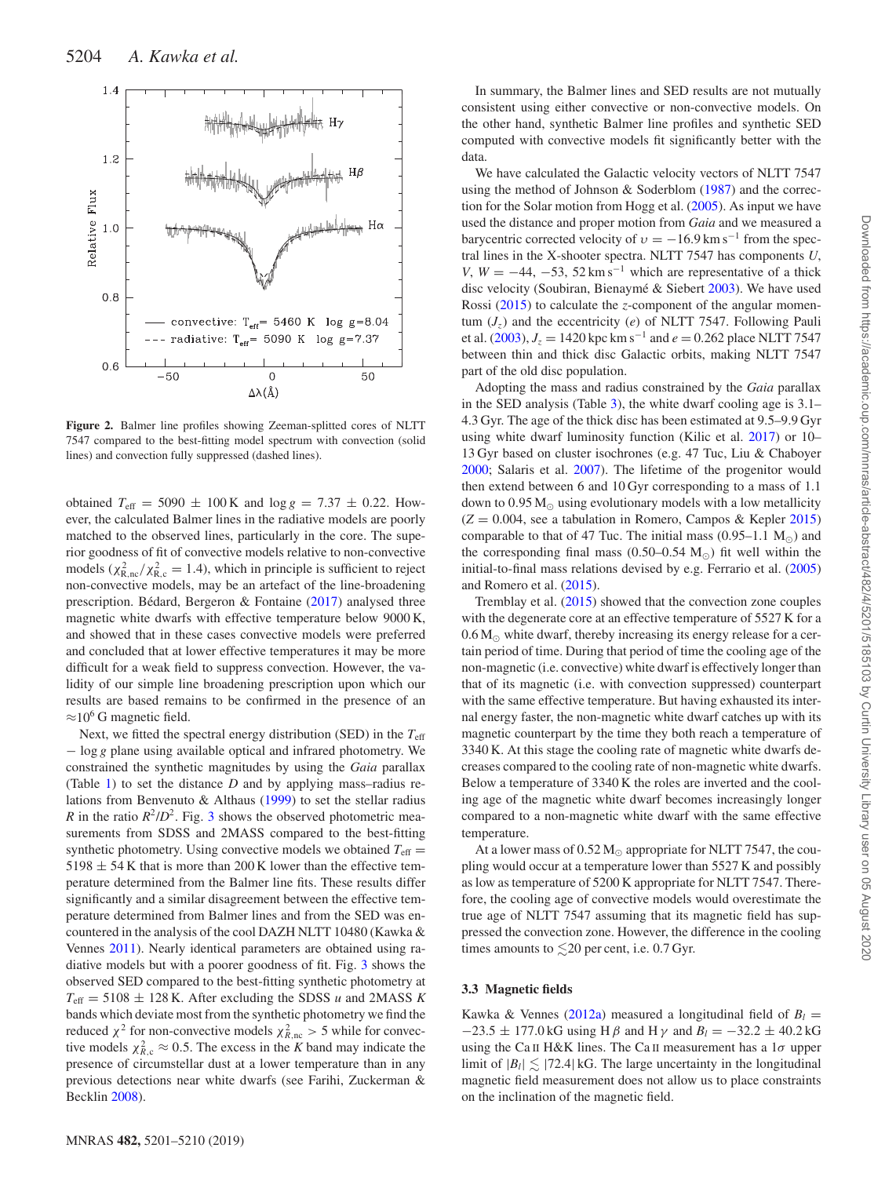<span id="page-3-0"></span>

**Figure 2.** Balmer line profiles showing Zeeman-splitted cores of NLTT 7547 compared to the best-fitting model spectrum with convection (solid lines) and convection fully suppressed (dashed lines).

obtained  $T_{\text{eff}} = 5090 \pm 100 \,\text{K}$  and  $\log g = 7.37 \pm 0.22$ . However, the calculated Balmer lines in the radiative models are poorly matched to the observed lines, particularly in the core. The superior goodness of fit of convective models relative to non-convective models ( $\chi^2_{\text{R},\text{nc}}/\chi^2_{\text{R},\text{c}} = 1.4$ ), which in principle is sufficient to reject non-convective models, may be an artefact of the line-broadening prescription. Bédard, Bergeron & Fontaine  $(2017)$  $(2017)$  analysed three magnetic white dwarfs with effective temperature below 9000 K, and showed that in these cases convective models were preferred and concluded that at lower effective temperatures it may be more difficult for a weak field to suppress convection. However, the validity of our simple line broadening prescription upon which our results are based remains to be confirmed in the presence of an  $\approx$ 10<sup>6</sup> G magnetic field.

Next, we fitted the spectral energy distribution (SED) in the *T*eff − log *g* plane using available optical and infrared photometry. We constrained the synthetic magnitudes by using the *Gaia* parallax (Table [1\)](#page-1-0) to set the distance *D* and by applying mass–radius relations from Benvenuto & Althaus [\(1999\)](#page-8-7) to set the stellar radius *R* in the ratio  $R^2/D^2$ . Fig. [3](#page-4-0) shows the observed photometric measurements from SDSS and 2MASS compared to the best-fitting synthetic photometry. Using convective models we obtained  $T_{\text{eff}} =$  $5198 \pm 54$  K that is more than 200 K lower than the effective temperature determined from the Balmer line fits. These results differ significantly and a similar disagreement between the effective temperature determined from Balmer lines and from the SED was encountered in the analysis of the cool DAZH NLTT 10480 (Kawka & Vennes [2011\)](#page-9-28). Nearly identical parameters are obtained using radiative models but with a poorer goodness of fit. Fig. [3](#page-4-0) shows the observed SED compared to the best-fitting synthetic photometry at  $T_{\text{eff}} = 5108 \pm 128 \text{ K}$ . After excluding the SDSS *u* and 2MASS *K* bands which deviate most from the synthetic photometry we find the reduced  $\chi^2$  for non-convective models  $\chi^2_{R,\text{nc}} > 5$  while for convective models  $\chi^2_{R,c} \approx 0.5$ . The excess in the *K* band may indicate the presence of circumstellar dust at a lower temperature than in any previous detections near white dwarfs (see Farihi, Zuckerman & Becklin [2008\)](#page-9-42).

In summary, the Balmer lines and SED results are not mutually consistent using either convective or non-convective models. On the other hand, synthetic Balmer line profiles and synthetic SED computed with convective models fit significantly better with the data.

We have calculated the Galactic velocity vectors of NLTT 7547 using the method of Johnson & Soderblom [\(1987\)](#page-9-43) and the correction for the Solar motion from Hogg et al. [\(2005\)](#page-9-44). As input we have used the distance and proper motion from *Gaia* and we measured a barycentric corrected velocity of  $v = -16.9$  km s<sup>-1</sup> from the spectral lines in the X-shooter spectra. NLTT 7547 has components *U*, *V*,  $W = -44$ ,  $-53$ ,  $52 \text{ km s}^{-1}$  which are representative of a thick disc velocity (Soubiran, Bienaymé & Siebert [2003\)](#page-9-45). We have used Rossi [\(2015\)](#page-9-46) to calculate the *z*-component of the angular momentum  $(J_z)$  and the eccentricity (*e*) of NLTT 7547. Following Pauli et al. [\(2003\)](#page-9-47),  $J_z = 1420$  kpc km s<sup>-1</sup> and  $e = 0.262$  place NLTT 7547 between thin and thick disc Galactic orbits, making NLTT 7547 part of the old disc population.

Adopting the mass and radius constrained by the *Gaia* parallax in the SED analysis (Table [3\)](#page-5-0), the white dwarf cooling age is 3.1– 4.3 Gyr. The age of the thick disc has been estimated at 9.5–9.9 Gyr using white dwarf luminosity function (Kilic et al. [2017\)](#page-9-48) or 10– 13 Gyr based on cluster isochrones (e.g. 47 Tuc, Liu & Chaboyer [2000;](#page-9-49) Salaris et al. [2007\)](#page-9-50). The lifetime of the progenitor would then extend between 6 and 10 Gyr corresponding to a mass of 1.1 down to 0.95 M<sub>o</sub> using evolutionary models with a low metallicity  $(Z = 0.004$ , see a tabulation in Romero, Campos & Kepler [2015\)](#page-9-51) comparable to that of 47 Tuc. The initial mass  $(0.95-1.1 \text{ M}_\odot)$  and the corresponding final mass (0.50–0.54  $M_{\odot}$ ) fit well within the initial-to-final mass relations devised by e.g. Ferrario et al. [\(2005\)](#page-9-52) and Romero et al. [\(2015\)](#page-9-51).

Tremblay et al. [\(2015\)](#page-9-25) showed that the convection zone couples with the degenerate core at an effective temperature of 5527 K for a  $0.6 M_{\odot}$  white dwarf, thereby increasing its energy release for a certain period of time. During that period of time the cooling age of the non-magnetic (i.e. convective) white dwarf is effectively longer than that of its magnetic (i.e. with convection suppressed) counterpart with the same effective temperature. But having exhausted its internal energy faster, the non-magnetic white dwarf catches up with its magnetic counterpart by the time they both reach a temperature of 3340 K. At this stage the cooling rate of magnetic white dwarfs decreases compared to the cooling rate of non-magnetic white dwarfs. Below a temperature of 3340 K the roles are inverted and the cooling age of the magnetic white dwarf becomes increasingly longer compared to a non-magnetic white dwarf with the same effective temperature.

At a lower mass of  $0.52 M_{\odot}$  appropriate for NLTT 7547, the coupling would occur at a temperature lower than 5527 K and possibly as low as temperature of 5200 K appropriate for NLTT 7547. Therefore, the cooling age of convective models would overestimate the true age of NLTT 7547 assuming that its magnetic field has suppressed the convection zone. However, the difference in the cooling times amounts to  $\lesssim$  20 per cent, i.e. 0.7 Gyr.

## **3.3 Magnetic fields**

Kawka & Vennes [\(2012a\)](#page-9-27) measured a longitudinal field of  $B_l =$  $-23.5 \pm 177.0$  kG using H  $\beta$  and H  $\gamma$  and  $B_l = -32.2 \pm 40.2$  kG using the Ca II H&K lines. The Ca II measurement has a 1*σ* upper limit of  $|B_l| \lesssim |72.4|$  kG. The large uncertainty in the longitudinal magnetic field measurement does not allow us to place constraints on the inclination of the magnetic field.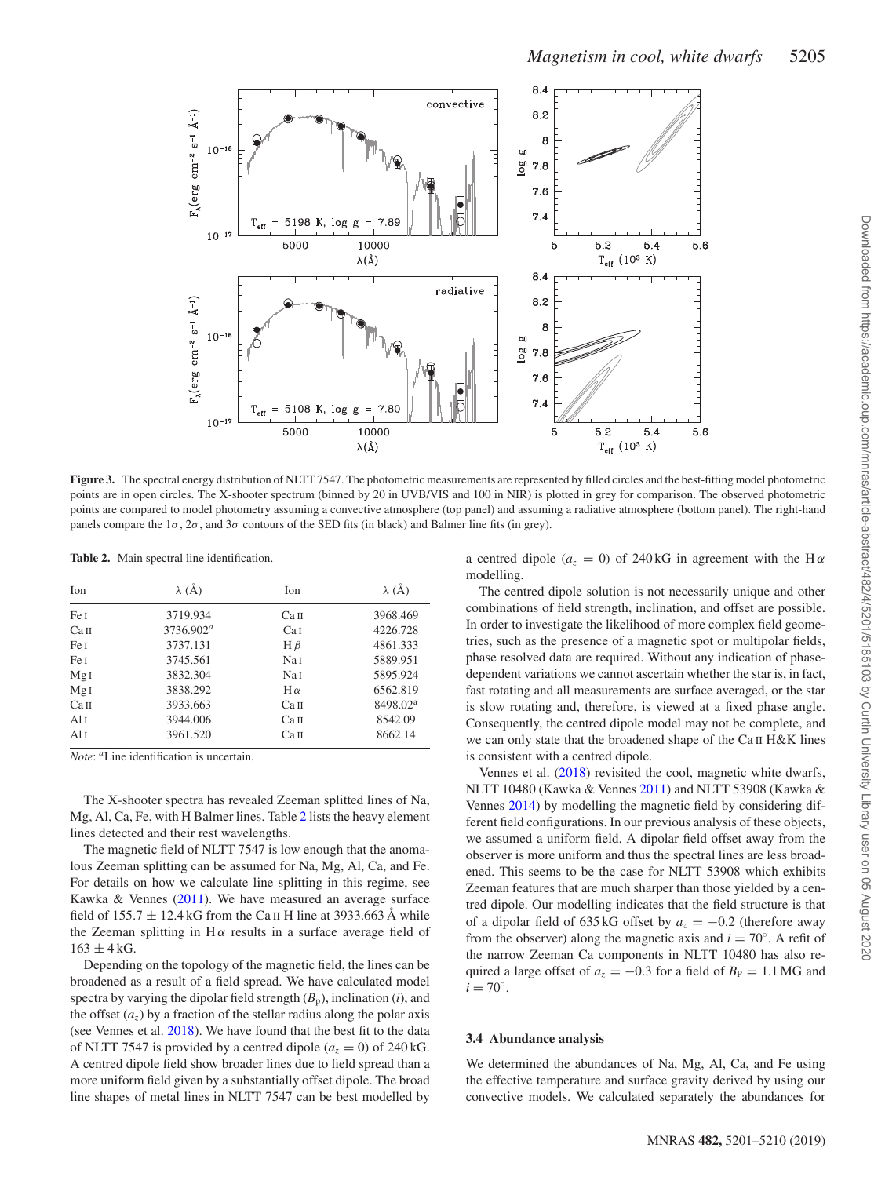<span id="page-4-0"></span>

**Figure 3.** The spectral energy distribution of NLTT 7547. The photometric measurements are represented by filled circles and the best-fitting model photometric points are in open circles. The X-shooter spectrum (binned by 20 in UVB/VIS and 100 in NIR) is plotted in grey for comparison. The observed photometric points are compared to model photometry assuming a convective atmosphere (top panel) and assuming a radiative atmosphere (bottom panel). The right-hand panels compare the  $1\sigma$ ,  $2\sigma$ , and  $3\sigma$  contours of the SED fits (in black) and Balmer line fits (in grey).

<span id="page-4-1"></span>**Table 2.** Main spectral line identification.

| <b>Ion</b>       | $\lambda$ (Å) | <b>Ion</b>       | $\lambda$ (Å)        |  |
|------------------|---------------|------------------|----------------------|--|
| Fe I             | 3719.934      | Ca <sub>II</sub> | 3968.469             |  |
| Сап              | $3736.902^a$  | Cal              | 4226.728             |  |
| Fe I             | 3737.131      | $H \beta$        | 4861.333             |  |
| Fe I             | 3745.561      | Na I             | 5889.951             |  |
| Mg <sub>I</sub>  | 3832.304      | Na 1             | 5895.924             |  |
| MgI              | 3838.292      | $H \alpha$       | 6562.819             |  |
| Ca <sub>II</sub> | 3933.663      | Ca <sub>II</sub> | 8498.02 <sup>a</sup> |  |
| A1I              | 3944.006      | Ca <sub>II</sub> | 8542.09              |  |
| A1I              | 3961.520      | Ca <sub>II</sub> | 8662.14              |  |

*Note*: *<sup>a</sup>*Line identification is uncertain.

The X-shooter spectra has revealed Zeeman splitted lines of Na, Mg, Al, Ca, Fe, with H Balmer lines. Table [2](#page-4-1) lists the heavy element lines detected and their rest wavelengths.

The magnetic field of NLTT 7547 is low enough that the anomalous Zeeman splitting can be assumed for Na, Mg, Al, Ca, and Fe. For details on how we calculate line splitting in this regime, see Kawka & Vennes [\(2011\)](#page-9-28). We have measured an average surface field of  $155.7 \pm 12.4$  kG from the Ca II H line at 3933.663 Å while the Zeeman splitting in  $H\alpha$  results in a surface average field of  $163 \pm 4$  kG.

Depending on the topology of the magnetic field, the lines can be broadened as a result of a field spread. We have calculated model spectra by varying the dipolar field strength  $(B_p)$ , inclination  $(i)$ , and the offset  $(a_7)$  by a fraction of the stellar radius along the polar axis (see Vennes et al. [2018\)](#page-9-53). We have found that the best fit to the data of NLTT 7547 is provided by a centred dipole  $(a_7 = 0)$  of 240 kG. A centred dipole field show broader lines due to field spread than a more uniform field given by a substantially offset dipole. The broad line shapes of metal lines in NLTT 7547 can be best modelled by

a centred dipole ( $a_z = 0$ ) of 240 kG in agreement with the H $\alpha$ modelling.

The centred dipole solution is not necessarily unique and other combinations of field strength, inclination, and offset are possible. In order to investigate the likelihood of more complex field geometries, such as the presence of a magnetic spot or multipolar fields, phase resolved data are required. Without any indication of phasedependent variations we cannot ascertain whether the star is, in fact, fast rotating and all measurements are surface averaged, or the star is slow rotating and, therefore, is viewed at a fixed phase angle. Consequently, the centred dipole model may not be complete, and we can only state that the broadened shape of the Ca II H&K lines is consistent with a centred dipole.

Vennes et al. [\(2018\)](#page-9-53) revisited the cool, magnetic white dwarfs, NLTT 10480 (Kawka & Vennes [2011\)](#page-9-28) and NLTT 53908 (Kawka & Vennes [2014\)](#page-9-13) by modelling the magnetic field by considering different field configurations. In our previous analysis of these objects, we assumed a uniform field. A dipolar field offset away from the observer is more uniform and thus the spectral lines are less broadened. This seems to be the case for NLTT 53908 which exhibits Zeeman features that are much sharper than those yielded by a centred dipole. Our modelling indicates that the field structure is that of a dipolar field of 635 kG offset by  $a_z = -0.2$  (therefore away from the observer) along the magnetic axis and  $i = 70^\circ$ . A refit of the narrow Zeeman Ca components in NLTT 10480 has also required a large offset of  $a_z = -0.3$  for a field of  $B<sub>P</sub> = 1.1$  MG and  $i = 70^\circ$ .

## **3.4 Abundance analysis**

We determined the abundances of Na, Mg, Al, Ca, and Fe using the effective temperature and surface gravity derived by using our convective models. We calculated separately the abundances for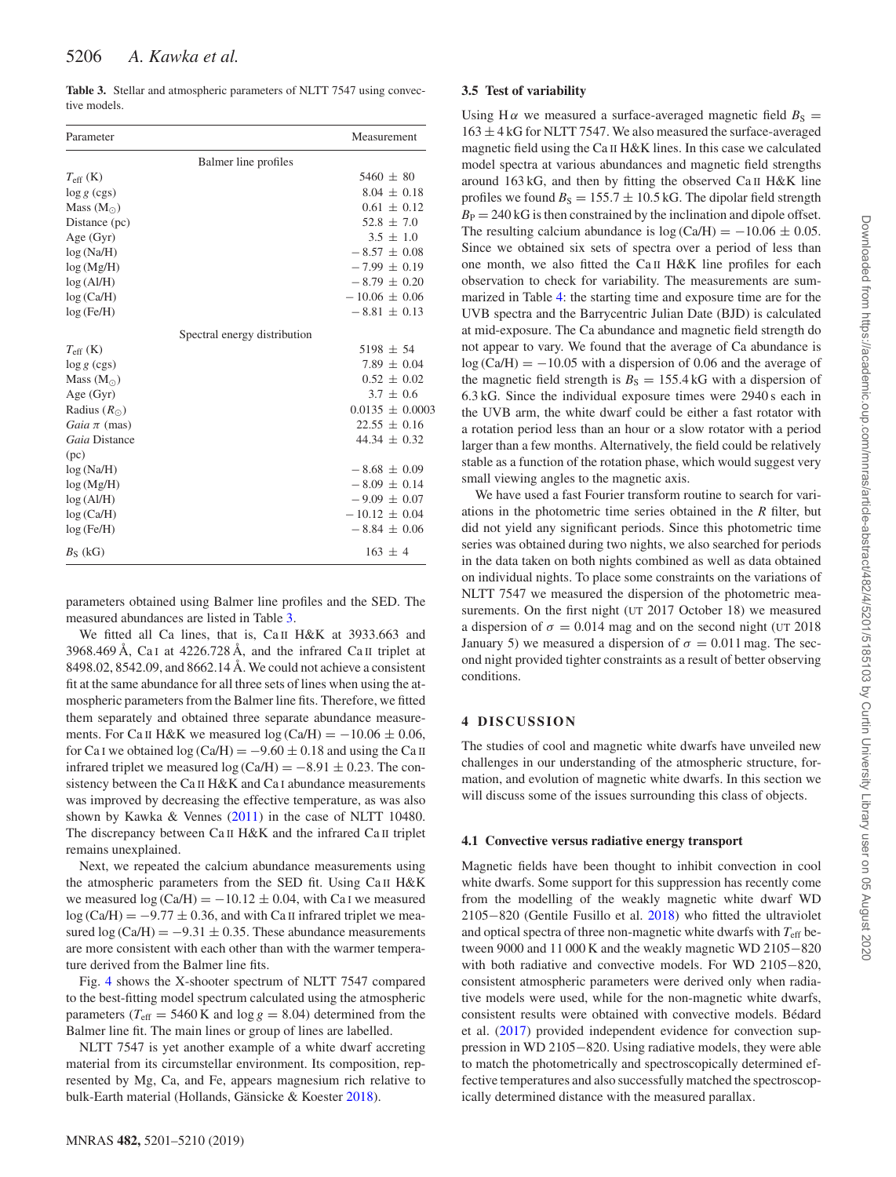<span id="page-5-0"></span>**Table 3.** Stellar and atmospheric parameters of NLTT 7547 using convective models.

| Parameter                    | Measurement         |  |  |  |  |  |
|------------------------------|---------------------|--|--|--|--|--|
| Balmer line profiles         |                     |  |  |  |  |  |
| $T_{\rm eff}$ (K)            | $5460 \pm 80$       |  |  |  |  |  |
| $\log g$ (cgs)               | $8.04 \pm 0.18$     |  |  |  |  |  |
| Mass $(M_{\odot})$           | $0.61 \pm 0.12$     |  |  |  |  |  |
| Distance (pc)                | $52.8 \pm 7.0$      |  |  |  |  |  |
| Age $(Gyr)$                  | $3.5 \pm 1.0$       |  |  |  |  |  |
| log(Na/H)                    | $-8.57 \pm 0.08$    |  |  |  |  |  |
| log(Mg/H)                    | $-7.99 \pm 0.19$    |  |  |  |  |  |
| log(AI/H)                    | $-8.79 \pm 0.20$    |  |  |  |  |  |
| log(Ca/H)                    | $-10.06 \pm 0.06$   |  |  |  |  |  |
| log (Fe/H)                   | $-8.81 \pm 0.13$    |  |  |  |  |  |
| Spectral energy distribution |                     |  |  |  |  |  |
| $T_{\rm eff}$ (K)            | $5198 \pm 54$       |  |  |  |  |  |
| $\log g$ (cgs)               | 7.89 $\pm$ 0.04     |  |  |  |  |  |
| Mass $(M_{\odot})$           | $0.52 \pm 0.02$     |  |  |  |  |  |
| Age $(Gyr)$                  | $3.7 \pm 0.6$       |  |  |  |  |  |
| Radius $(R_{\odot})$         | $0.0135 \pm 0.0003$ |  |  |  |  |  |
| Gaia $\pi$ (mas)             | $22.55 \pm 0.16$    |  |  |  |  |  |
| Gaia Distance                | 44.34 $\pm$ 0.32    |  |  |  |  |  |
| (pc)                         |                     |  |  |  |  |  |
| log(Na/H)                    | $-8.68 \pm 0.09$    |  |  |  |  |  |
| log(Mg/H)                    | $-8.09 \pm 0.14$    |  |  |  |  |  |
| log(AI/H)                    | $-9.09 \pm 0.07$    |  |  |  |  |  |
| log(Ca/H)                    | $-10.12 \pm 0.04$   |  |  |  |  |  |
| log (Fe/H)                   | $-8.84 \pm 0.06$    |  |  |  |  |  |
| $B_S$ (kG)                   | $163 \pm 4$         |  |  |  |  |  |

parameters obtained using Balmer line profiles and the SED. The measured abundances are listed in Table [3.](#page-5-0)

We fitted all Ca lines, that is, Ca II H&K at 3933.663 and 3968.469 Å, Ca I at 4226.728 Å, and the infrared Ca II triplet at 8498.02, 8542.09, and 8662.14 Å. We could not achieve a consistent fit at the same abundance for all three sets of lines when using the atmospheric parameters from the Balmer line fits. Therefore, we fitted them separately and obtained three separate abundance measurements. For Ca II H&K we measured  $log (Ca/H) = -10.06 \pm 0.06$ , for Ca I we obtained  $log (Ca/H) = -9.60 \pm 0.18$  and using the Ca II infrared triplet we measured log (Ca/H) =  $-8.91 \pm 0.23$ . The consistency between the Ca II H&K and Ca I abundance measurements was improved by decreasing the effective temperature, as was also shown by Kawka & Vennes [\(2011\)](#page-9-28) in the case of NLTT 10480. The discrepancy between Ca II H&K and the infrared Ca II triplet remains unexplained.

Next, we repeated the calcium abundance measurements using the atmospheric parameters from the SED fit. Using Ca II H&K we measured  $log(Ca/H) = -10.12 \pm 0.04$ , with Ca I we measured  $log(Ca/H) = -9.77 \pm 0.36$ , and with Ca II infrared triplet we measured  $log(Ca/H) = -9.31 \pm 0.35$ . These abundance measurements are more consistent with each other than with the warmer temperature derived from the Balmer line fits.

Fig. [4](#page-6-0) shows the X-shooter spectrum of NLTT 7547 compared to the best-fitting model spectrum calculated using the atmospheric parameters ( $T_{\text{eff}}$  = 5460 K and  $\log g$  = 8.04) determined from the Balmer line fit. The main lines or group of lines are labelled.

NLTT 7547 is yet another example of a white dwarf accreting material from its circumstellar environment. Its composition, represented by Mg, Ca, and Fe, appears magnesium rich relative to bulk-Earth material (Hollands, Gänsicke & Koester [2018\)](#page-9-54).

## **3.5 Test of variability**

Using H $\alpha$  we measured a surface-averaged magnetic field  $B_S$  =  $163 \pm 4$  kG for NLTT 7547. We also measured the surface-averaged magnetic field using the Ca II H&K lines. In this case we calculated model spectra at various abundances and magnetic field strengths around 163 kG, and then by fitting the observed Ca II H&K line profiles we found  $B<sub>S</sub> = 155.7 \pm 10.5$  kG. The dipolar field strength  $B<sub>P</sub> = 240$  kG is then constrained by the inclination and dipole offset. The resulting calcium abundance is  $log(Ca/H) = -10.06 \pm 0.05$ . Since we obtained six sets of spectra over a period of less than one month, we also fitted the Ca II H&K line profiles for each observation to check for variability. The measurements are summarized in Table [4:](#page-6-1) the starting time and exposure time are for the UVB spectra and the Barrycentric Julian Date (BJD) is calculated at mid-exposure. The Ca abundance and magnetic field strength do not appear to vary. We found that the average of Ca abundance is  $log (Ca/H) = -10.05$  with a dispersion of 0.06 and the average of the magnetic field strength is  $B<sub>S</sub> = 155.4$  kG with a dispersion of 6.3 kG. Since the individual exposure times were 2940 s each in the UVB arm, the white dwarf could be either a fast rotator with a rotation period less than an hour or a slow rotator with a period larger than a few months. Alternatively, the field could be relatively stable as a function of the rotation phase, which would suggest very small viewing angles to the magnetic axis.

We have used a fast Fourier transform routine to search for variations in the photometric time series obtained in the *R* filter, but did not yield any significant periods. Since this photometric time series was obtained during two nights, we also searched for periods in the data taken on both nights combined as well as data obtained on individual nights. To place some constraints on the variations of NLTT 7547 we measured the dispersion of the photometric measurements. On the first night (UT 2017 October 18) we measured a dispersion of  $\sigma = 0.014$  mag and on the second night (UT 2018) January 5) we measured a dispersion of  $\sigma = 0.011$  mag. The second night provided tighter constraints as a result of better observing conditions.

#### **4 DISCUSSION**

The studies of cool and magnetic white dwarfs have unveiled new challenges in our understanding of the atmospheric structure, formation, and evolution of magnetic white dwarfs. In this section we will discuss some of the issues surrounding this class of objects.

#### **4.1 Convective versus radiative energy transport**

Magnetic fields have been thought to inhibit convection in cool white dwarfs. Some support for this suppression has recently come from the modelling of the weakly magnetic white dwarf WD 2105−820 (Gentile Fusillo et al. [2018\)](#page-9-55) who fitted the ultraviolet and optical spectra of three non-magnetic white dwarfs with  $T_{\text{eff}}$  between 9000 and 11 000 K and the weakly magnetic WD 2105−820 with both radiative and convective models. For WD 2105−820, consistent atmospheric parameters were derived only when radiative models were used, while for the non-magnetic white dwarfs, consistent results were obtained with convective models. Bédard et al. [\(2017\)](#page-8-6) provided independent evidence for convection suppression in WD 2105−820. Using radiative models, they were able to match the photometrically and spectroscopically determined effective temperatures and also successfully matched the spectroscopically determined distance with the measured parallax.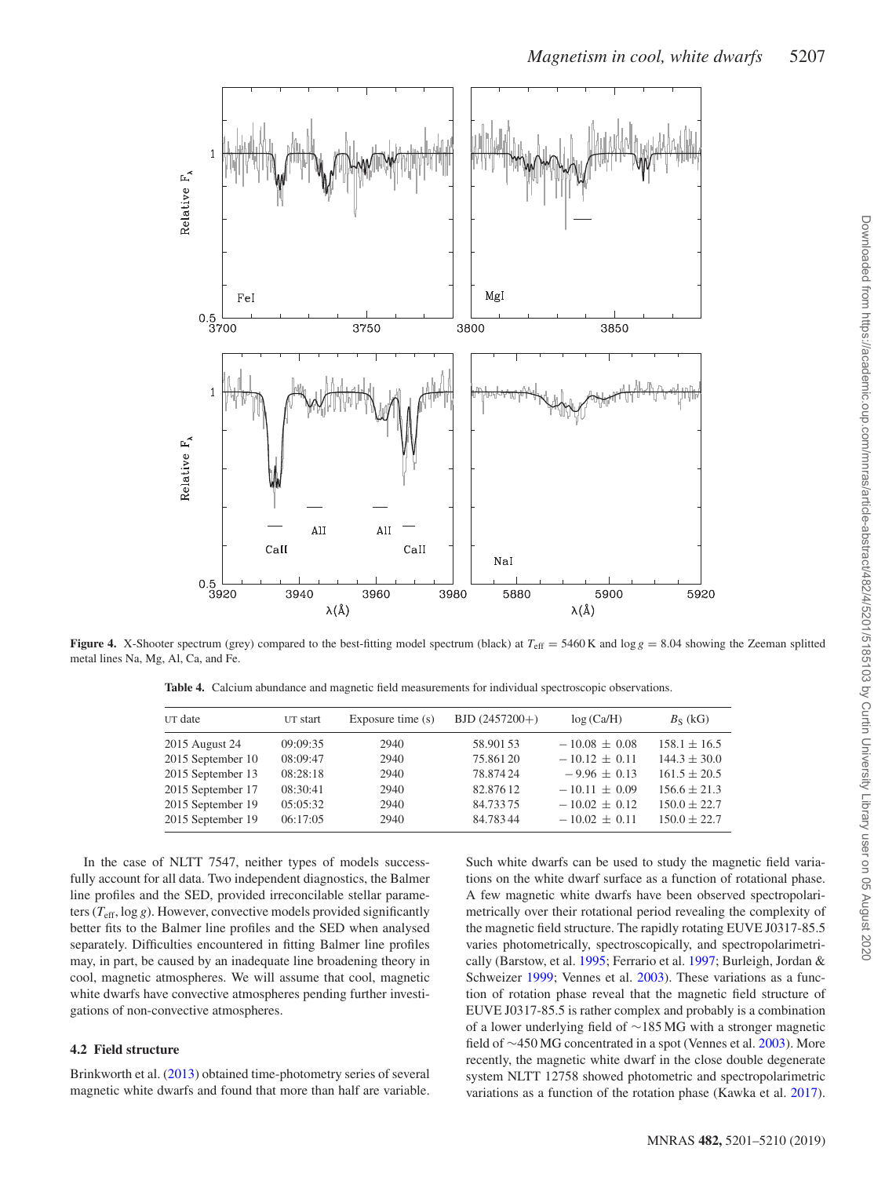<span id="page-6-0"></span>

<span id="page-6-1"></span>**Figure 4.** X-Shooter spectrum (grey) compared to the best-fitting model spectrum (black) at  $T_{\text{eff}} = 5460 \text{ K}$  and  $\log g = 8.04$  showing the Zeeman splitted metal lines Na, Mg, Al, Ca, and Fe.

**Table 4.** Calcium abundance and magnetic field measurements for individual spectroscopic observations.

| UT date           | UT start | Exposure time $(s)$ | $BJD(2457200+)$ | log(Ca/H)         | $B_S$ (kG)       |
|-------------------|----------|---------------------|-----------------|-------------------|------------------|
| 2015 August 24    | 09:09:35 | 2940                | 58.901 53       | $-10.08 \pm 0.08$ | $158.1 \pm 16.5$ |
| 2015 September 10 | 08:09:47 | 2940                | 75.86120        | $-10.12 \pm 0.11$ | $144.3 \pm 30.0$ |
| 2015 September 13 | 08:28:18 | 2940                | 78.87424        | $-9.96 \pm 0.13$  | $161.5 \pm 20.5$ |
| 2015 September 17 | 08:30:41 | 2940                | 82.87612        | $-10.11 + 0.09$   | $156.6 \pm 21.3$ |
| 2015 September 19 | 05:05:32 | 2940                | 84.73375        | $-10.02 \pm 0.12$ | $150.0 \pm 22.7$ |
| 2015 September 19 | 06:17:05 | 2940                | 84.78344        | $-10.02 \pm 0.11$ | $150.0 + 22.7$   |

In the case of NLTT 7547, neither types of models successfully account for all data. Two independent diagnostics, the Balmer line profiles and the SED, provided irreconcilable stellar parameters  $(T_{\text{eff}}, \log g)$ . However, convective models provided significantly better fits to the Balmer line profiles and the SED when analysed separately. Difficulties encountered in fitting Balmer line profiles may, in part, be caused by an inadequate line broadening theory in cool, magnetic atmospheres. We will assume that cool, magnetic white dwarfs have convective atmospheres pending further investigations of non-convective atmospheres.

## **4.2 Field structure**

Brinkworth et al. [\(2013\)](#page-9-56) obtained time-photometry series of several magnetic white dwarfs and found that more than half are variable. Such white dwarfs can be used to study the magnetic field variations on the white dwarf surface as a function of rotational phase. A few magnetic white dwarfs have been observed spectropolarimetrically over their rotational period revealing the complexity of the magnetic field structure. The rapidly rotating EUVE J0317-85.5 varies photometrically, spectroscopically, and spectropolarimetrically (Barstow, et al. [1995;](#page-8-8) Ferrario et al. [1997;](#page-9-57) Burleigh, Jordan & Schweizer [1999;](#page-9-58) Vennes et al. [2003\)](#page-9-20). These variations as a function of rotation phase reveal that the magnetic field structure of EUVE J0317-85.5 is rather complex and probably is a combination of a lower underlying field of ∼185 MG with a stronger magnetic field of ∼450 MG concentrated in a spot (Vennes et al. [2003\)](#page-9-20). More recently, the magnetic white dwarf in the close double degenerate system NLTT 12758 showed photometric and spectropolarimetric variations as a function of the rotation phase (Kawka et al. [2017\)](#page-9-59).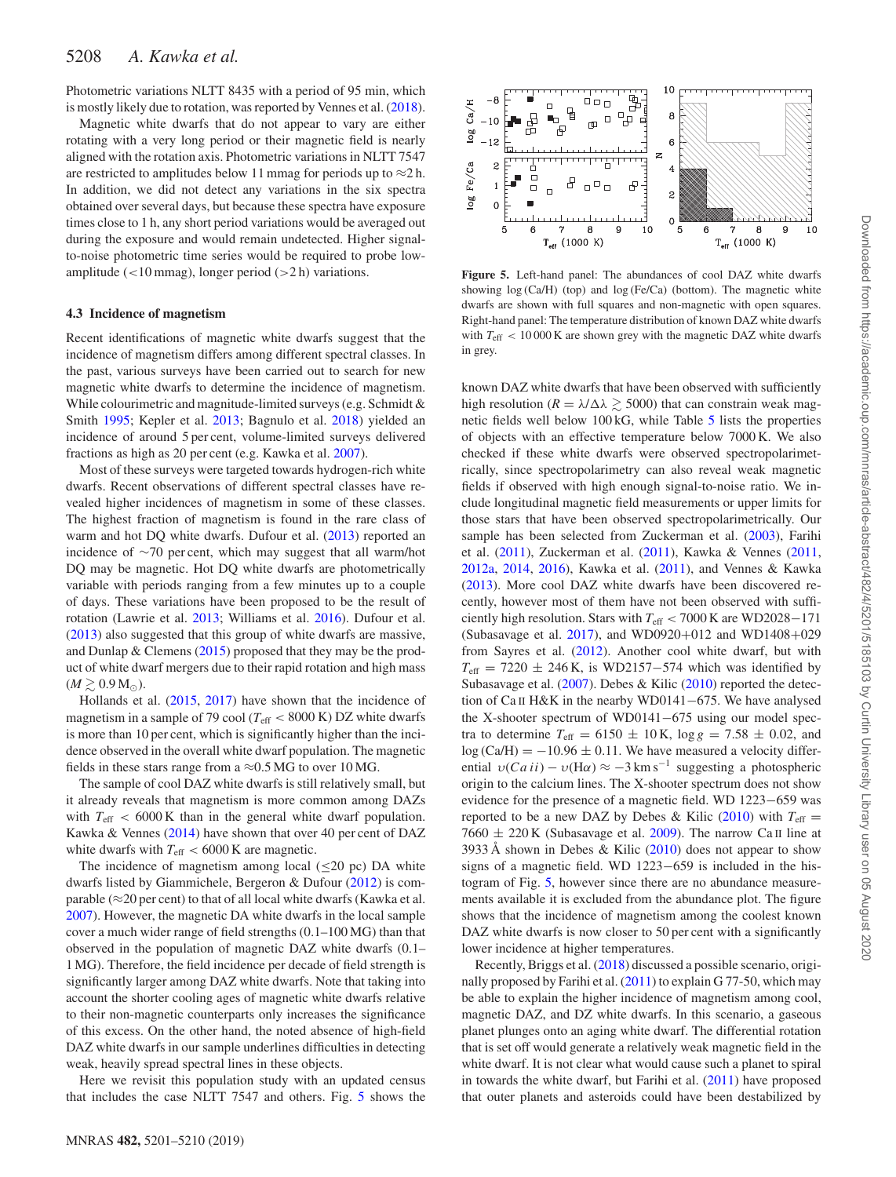Photometric variations NLTT 8435 with a period of 95 min, which is mostly likely due to rotation, was reported by Vennes et al. [\(2018\)](#page-9-53).

Magnetic white dwarfs that do not appear to vary are either rotating with a very long period or their magnetic field is nearly aligned with the rotation axis. Photometric variations in NLTT 7547 are restricted to amplitudes below 11 mmag for periods up to  $\approx$ 2 h. In addition, we did not detect any variations in the six spectra obtained over several days, but because these spectra have exposure times close to 1 h, any short period variations would be averaged out during the exposure and would remain undetected. Higher signalto-noise photometric time series would be required to probe lowamplitude (*<*10 mmag), longer period (*>*2 h) variations.

#### **4.3 Incidence of magnetism**

Recent identifications of magnetic white dwarfs suggest that the incidence of magnetism differs among different spectral classes. In the past, various surveys have been carried out to search for new magnetic white dwarfs to determine the incidence of magnetism. While colourimetric and magnitude-limited surveys (e.g. Schmidt & Smith [1995;](#page-9-1) Kepler et al. [2013;](#page-9-2) Bagnulo et al. [2018\)](#page-8-9) yielded an incidence of around 5 per cent, volume-limited surveys delivered fractions as high as 20 per cent (e.g. Kawka et al. [2007\)](#page-9-3).

Most of these surveys were targeted towards hydrogen-rich white dwarfs. Recent observations of different spectral classes have revealed higher incidences of magnetism in some of these classes. The highest fraction of magnetism is found in the rare class of warm and hot DQ white dwarfs. Dufour et al. [\(2013\)](#page-9-15) reported an incidence of ∼70 per cent, which may suggest that all warm/hot DQ may be magnetic. Hot DQ white dwarfs are photometrically variable with periods ranging from a few minutes up to a couple of days. These variations have been proposed to be the result of rotation (Lawrie et al. [2013;](#page-9-60) Williams et al. [2016\)](#page-9-61). Dufour et al. [\(2013\)](#page-9-15) also suggested that this group of white dwarfs are massive, and Dunlap & Clemens [\(2015\)](#page-9-62) proposed that they may be the product of white dwarf mergers due to their rapid rotation and high mass  $(M \geq 0.9$  M<sub> $\odot$ </sub>).

Hollands et al. [\(2015,](#page-9-14) [2017\)](#page-9-63) have shown that the incidence of magnetism in a sample of 79 cool ( $T_{\text{eff}}$  < 8000 K) DZ white dwarfs is more than 10 per cent, which is significantly higher than the incidence observed in the overall white dwarf population. The magnetic fields in these stars range from a  $\approx 0.5$  MG to over 10 MG.

The sample of cool DAZ white dwarfs is still relatively small, but it already reveals that magnetism is more common among DAZs with  $T_{\text{eff}}$  < 6000 K than in the general white dwarf population. Kawka & Vennes [\(2014\)](#page-9-13) have shown that over 40 per cent of DAZ white dwarfs with  $T_{\text{eff}} < 6000 \text{ K}$  are magnetic.

The incidence of magnetism among local  $(\leq 20 \text{ pc})$  DA white dwarfs listed by Giammichele, Bergeron & Dufour [\(2012\)](#page-9-64) is comparable ( $\approx$ 20 per cent) to that of all local white dwarfs (Kawka et al. [2007\)](#page-9-3). However, the magnetic DA white dwarfs in the local sample cover a much wider range of field strengths (0.1–100 MG) than that observed in the population of magnetic DAZ white dwarfs (0.1– 1 MG). Therefore, the field incidence per decade of field strength is significantly larger among DAZ white dwarfs. Note that taking into account the shorter cooling ages of magnetic white dwarfs relative to their non-magnetic counterparts only increases the significance of this excess. On the other hand, the noted absence of high-field DAZ white dwarfs in our sample underlines difficulties in detecting weak, heavily spread spectral lines in these objects.

Here we revisit this population study with an updated census that includes the case NLTT 7547 and others. Fig. [5](#page-7-0) shows the

<span id="page-7-0"></span>

**Figure 5.** Left-hand panel: The abundances of cool DAZ white dwarfs showing  $log(Ca/H)$  (top) and  $log(Fe/Ca)$  (bottom). The magnetic white dwarfs are shown with full squares and non-magnetic with open squares. Right-hand panel: The temperature distribution of known DAZ white dwarfs with *T*eff *<* 10 000 K are shown grey with the magnetic DAZ white dwarfs in grey.

known DAZ white dwarfs that have been observed with sufficiently high resolution ( $R = \lambda/\Delta\lambda \ge 5000$ ) that can constrain weak magnetic fields well below 100 kG, while Table [5](#page-8-10) lists the properties of objects with an effective temperature below 7000 K. We also checked if these white dwarfs were observed spectropolarimetrically, since spectropolarimetry can also reveal weak magnetic fields if observed with high enough signal-to-noise ratio. We include longitudinal magnetic field measurements or upper limits for those stars that have been observed spectropolarimetrically. Our sample has been selected from Zuckerman et al. [\(2003\)](#page-9-7), Farihi et al. [\(2011\)](#page-9-65), Zuckerman et al. [\(2011\)](#page-9-29), Kawka & Vennes [\(2011,](#page-9-28) [2012a,](#page-9-27) [2014,](#page-9-13) [2016\)](#page-9-66), Kawka et al. [\(2011\)](#page-9-67), and Vennes & Kawka [\(2013\)](#page-9-68). More cool DAZ white dwarfs have been discovered recently, however most of them have not been observed with sufficiently high resolution. Stars with *T*eff *<* 7000 K are WD2028−171 (Subasavage et al. [2017\)](#page-9-69), and WD0920+012 and WD1408+029 from Sayres et al. [\(2012\)](#page-9-70). Another cool white dwarf, but with  $T_{\text{eff}}$  = 7220 ± 246 K, is WD2157–574 which was identified by Subasavage et al. [\(2007\)](#page-9-71). Debes & Kilic [\(2010\)](#page-9-72) reported the detection of Ca II H&K in the nearby WD0141−675. We have analysed the X-shooter spectrum of WD0141−675 using our model spectra to determine  $T_{\text{eff}} = 6150 \pm 10 \,\text{K}$ ,  $\log g = 7.58 \pm 0.02$ , and  $log(Ca/H) = -10.96 \pm 0.11$ . We have measured a velocity differential  $v(Ca\,ii) - v(H\alpha) \approx -3 \, \text{km s}^{-1}$  suggesting a photospheric origin to the calcium lines. The X-shooter spectrum does not show evidence for the presence of a magnetic field. WD 1223−659 was reported to be a new DAZ by Debes & Kilic [\(2010\)](#page-9-72) with  $T_{\text{eff}} =$ 7660  $\pm$  220 K (Subasavage et al. [2009\)](#page-9-73). The narrow Ca II line at 3933 Å shown in Debes & Kilic [\(2010\)](#page-9-72) does not appear to show signs of a magnetic field. WD 1223−659 is included in the histogram of Fig. [5,](#page-7-0) however since there are no abundance measurements available it is excluded from the abundance plot. The figure shows that the incidence of magnetism among the coolest known DAZ white dwarfs is now closer to 50 per cent with a significantly lower incidence at higher temperatures.

Recently, Briggs et al. [\(2018\)](#page-9-74) discussed a possible scenario, originally proposed by Farihi et al. [\(2011\)](#page-9-65) to explain G 77-50, which may be able to explain the higher incidence of magnetism among cool, magnetic DAZ, and DZ white dwarfs. In this scenario, a gaseous planet plunges onto an aging white dwarf. The differential rotation that is set off would generate a relatively weak magnetic field in the white dwarf. It is not clear what would cause such a planet to spiral in towards the white dwarf, but Farihi et al. [\(2011\)](#page-9-65) have proposed that outer planets and asteroids could have been destabilized by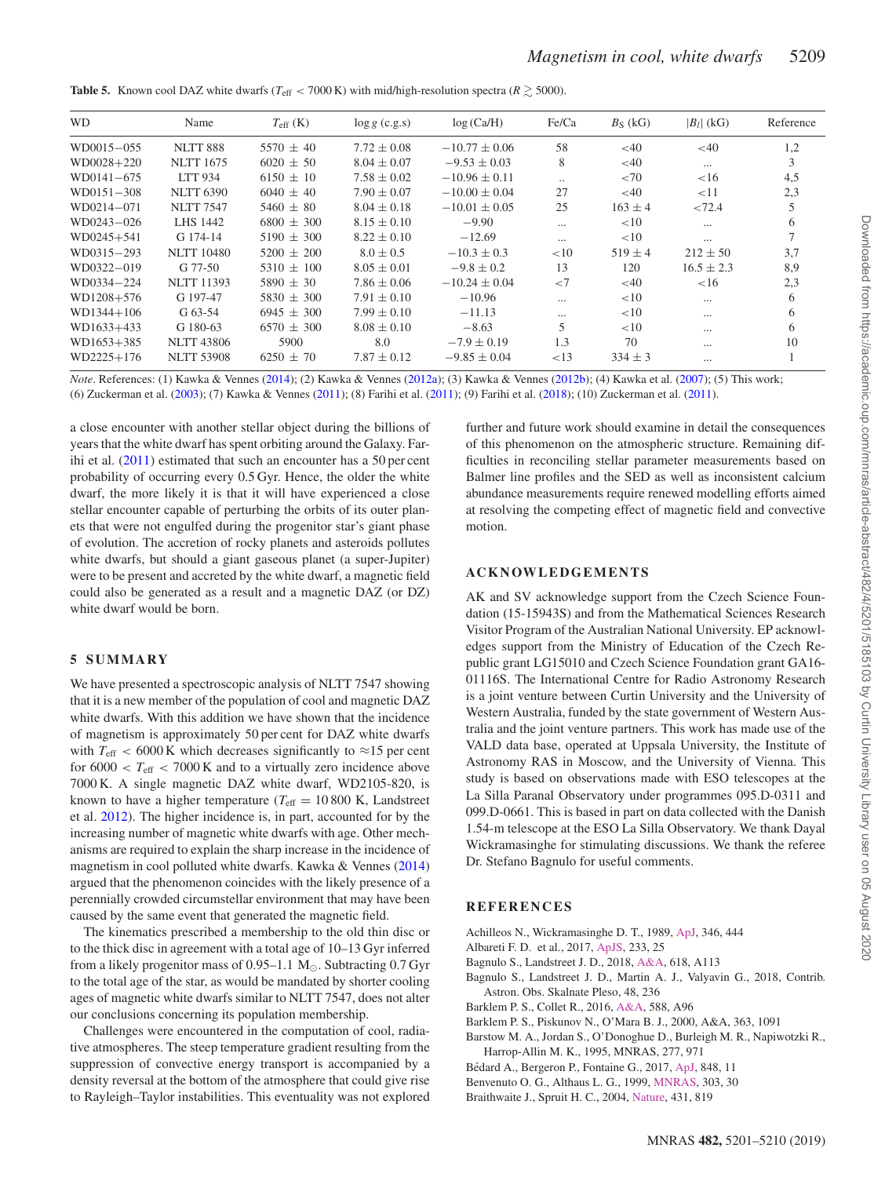<span id="page-8-10"></span>**Table 5.** Known cool DAZ white dwarfs ( $T_{\text{eff}}$  < 7000 K) with mid/high-resolution spectra ( $R \ge 5000$ ).

| <b>WD</b>      | Name              | $T_{\rm eff}$ (K) | $\log g$ (c.g.s) | log(Ca/H)         | Fe/Ca     | $B_S$ (kG)  | $ B_l $ (kG) | Reference |
|----------------|-------------------|-------------------|------------------|-------------------|-----------|-------------|--------------|-----------|
| WD0015-055     | <b>NLTT 888</b>   | $5570 \pm 40$     | $7.72 \pm 0.08$  | $-10.77 + 0.06$   | 58        | <40         | $<$ 40       | 1,2       |
| $WD0028 + 220$ | <b>NLTT 1675</b>  | $6020 \pm 50$     | $8.04 \pm 0.07$  | $-9.53 \pm 0.03$  | 8         | $<$ 40      | $\cdots$     | 3         |
| WD0141-675     | <b>LTT 934</b>    | $6150 \pm 10$     | $7.58 \pm 0.02$  | $-10.96 \pm 0.11$ | $\cdot$ . | ${<}70$     | <16          | 4,5       |
| WD0151-308     | <b>NLTT 6390</b>  | $6040 \pm 40$     | $7.90 \pm 0.07$  | $-10.00 \pm 0.04$ | 27        | $<$ 40      | <11          | 2,3       |
| WD0214-071     | <b>NLTT 7547</b>  | $5460 \pm 80$     | $8.04 \pm 0.18$  | $-10.01 \pm 0.05$ | 25        | $163 \pm 4$ | < 72.4       | 5         |
| WD0243-026     | <b>LHS 1442</b>   | $6800 + 300$      | $8.15 \pm 0.10$  | $-9.90$           |           | <10         | $\cdots$     | 6         |
| $WD0245 + 541$ | G 174-14          | $5190 \pm 300$    | $8.22 \pm 0.10$  | $-12.69$          | $\cdots$  | <10         | $\cdots$     |           |
| WD0315-293     | <b>NLTT 10480</b> | $5200 \pm 200$    | $8.0 \pm 0.5$    | $-10.3 \pm 0.3$   | <10       | $519 \pm 4$ | $212 \pm 50$ | 3,7       |
| WD0322-019     | $G$ 77-50         | $5310 \pm 100$    | $8.05 \pm 0.01$  | $-9.8 \pm 0.2$    | 13        | 120         | $16.5 + 2.3$ | 8,9       |
| WD0334-224     | <b>NLTT 11393</b> | $5890 \pm 30$     | $7.86 \pm 0.06$  | $-10.24 \pm 0.04$ | ${<}7$    | $<$ 40      | ${<}16$      | 2,3       |
| WD1208+576     | G 197-47          | $5830 + 300$      | $7.91 \pm 0.10$  | $-10.96$          | $\cdots$  | <10         | $\cdots$     | 6         |
| $WD1344+106$   | G 63-54           | $6945 \pm 300$    | $7.99 \pm 0.10$  | $-11.13$          |           | <10         | $\cdots$     | 6         |
| WD1633+433     | G 180-63          | $6570 \pm 300$    | $8.08 \pm 0.10$  | $-8.63$           |           | <10         | $\cdots$     | 6         |
| WD1653+385     | <b>NLTT 43806</b> | 5900              | 8.0              | $-7.9 \pm 0.19$   | 1.3       | 70          | $\cdots$     | 10        |
| WD2225+176     | <b>NLTT 53908</b> | $6250 \pm 70$     | $7.87 \pm 0.12$  | $-9.85 \pm 0.04$  | ${<}13$   | $334 \pm 3$ | $\cdots$     |           |

*Note*. References: (1) Kawka & Vennes [\(2014\)](#page-9-13); (2) Kawka & Vennes [\(2012a\)](#page-9-27); (3) Kawka & Vennes [\(2012b\)](#page-9-34); (4) Kawka et al. [\(2007\)](#page-9-3); (5) This work; (6) Zuckerman et al. [\(2003\)](#page-9-7); (7) Kawka & Vennes [\(2011\)](#page-9-28); (8) Farihi et al. [\(2011\)](#page-9-65); (9) Farihi et al. [\(2018\)](#page-9-75); (10) Zuckerman et al. [\(2011\)](#page-9-29).

a close encounter with another stellar object during the billions of years that the white dwarf has spent orbiting around the Galaxy. Farihi et al. [\(2011\)](#page-9-65) estimated that such an encounter has a 50 per cent probability of occurring every 0.5 Gyr. Hence, the older the white dwarf, the more likely it is that it will have experienced a close stellar encounter capable of perturbing the orbits of its outer planets that were not engulfed during the progenitor star's giant phase of evolution. The accretion of rocky planets and asteroids pollutes white dwarfs, but should a giant gaseous planet (a super-Jupiter) were to be present and accreted by the white dwarf, a magnetic field could also be generated as a result and a magnetic DAZ (or DZ) white dwarf would be born.

## **5 SUMMARY**

We have presented a spectroscopic analysis of NLTT 7547 showing that it is a new member of the population of cool and magnetic DAZ white dwarfs. With this addition we have shown that the incidence of magnetism is approximately 50 per cent for DAZ white dwarfs with  $T_{\text{eff}}$  < 6000 K which decreases significantly to  $\approx$ 15 per cent for  $6000 < T_{\text{eff}} < 7000$  K and to a virtually zero incidence above 7000 K. A single magnetic DAZ white dwarf, WD2105-820, is known to have a higher temperature ( $T_{\text{eff}} = 10\,800$  K, Landstreet et al. [2012\)](#page-9-4). The higher incidence is, in part, accounted for by the increasing number of magnetic white dwarfs with age. Other mechanisms are required to explain the sharp increase in the incidence of magnetism in cool polluted white dwarfs. Kawka & Vennes [\(2014\)](#page-9-13) argued that the phenomenon coincides with the likely presence of a perennially crowded circumstellar environment that may have been caused by the same event that generated the magnetic field.

The kinematics prescribed a membership to the old thin disc or to the thick disc in agreement with a total age of 10–13 Gyr inferred from a likely progenitor mass of  $0.95-1.1 \text{ M}_{\odot}$ . Subtracting  $0.7 \text{ Gyr}$ to the total age of the star, as would be mandated by shorter cooling ages of magnetic white dwarfs similar to NLTT 7547, does not alter our conclusions concerning its population membership.

Challenges were encountered in the computation of cool, radiative atmospheres. The steep temperature gradient resulting from the suppression of convective energy transport is accompanied by a density reversal at the bottom of the atmosphere that could give rise to Rayleigh–Taylor instabilities. This eventuality was not explored further and future work should examine in detail the consequences of this phenomenon on the atmospheric structure. Remaining difficulties in reconciling stellar parameter measurements based on Balmer line profiles and the SED as well as inconsistent calcium abundance measurements require renewed modelling efforts aimed at resolving the competing effect of magnetic field and convective motion.

## **ACKNOWLEDGEMENTS**

AK and SV acknowledge support from the Czech Science Foundation (15-15943S) and from the Mathematical Sciences Research Visitor Program of the Australian National University. EP acknowledges support from the Ministry of Education of the Czech Republic grant LG15010 and Czech Science Foundation grant GA16- 01116S. The International Centre for Radio Astronomy Research is a joint venture between Curtin University and the University of Western Australia, funded by the state government of Western Australia and the joint venture partners. This work has made use of the VALD data base, operated at Uppsala University, the Institute of Astronomy RAS in Moscow, and the University of Vienna. This study is based on observations made with ESO telescopes at the La Silla Paranal Observatory under programmes 095.D-0311 and 099.D-0661. This is based in part on data collected with the Danish 1.54-m telescope at the ESO La Silla Observatory. We thank Dayal Wickramasinghe for stimulating discussions. We thank the referee Dr. Stefano Bagnulo for useful comments.

## **REFERENCES**

- <span id="page-8-3"></span>Achilleos N., Wickramasinghe D. T., 1989, [ApJ,](http://dx.doi.org/10.1086/168024) 346, 444
- <span id="page-8-2"></span>Albareti F. D. et al., 2017, [ApJS,](http://dx.doi.org/10.3847/1538-4365/aa8992) 233, 25
- <span id="page-8-0"></span>Bagnulo S., Landstreet J. D., 2018, [A&A,](http://dx.doi.org/10.1051/0004-6361/201833235) 618, A113
- <span id="page-8-9"></span>Bagnulo S., Landstreet J. D., Martin A. J., Valyavin G., 2018, Contrib. Astron. Obs. Skalnate Pleso, 48, 236
- <span id="page-8-4"></span>Barklem P. S., Collet R., 2016, [A&A,](http://dx.doi.org/10.1051/0004-6361/201526961) 588, A96
- <span id="page-8-5"></span>Barklem P. S., Piskunov N., O'Mara B. J., 2000, A&A, 363, 1091
- <span id="page-8-8"></span>Barstow M. A., Jordan S., O'Donoghue D., Burleigh M. R., Napiwotzki R., Harrop-Allin M. K., 1995, MNRAS, 277, 971
- <span id="page-8-6"></span>Bédard A., Bergeron P., Fontaine G., 2017, [ApJ,](http://dx.doi.org/10.3847/1538-4357/aa8bb6) 848, 11
- <span id="page-8-7"></span>Benvenuto O. G., Althaus L. G., 1999, [MNRAS,](http://dx.doi.org/10.1046/j.1365-8711.1999.02215.x) 303, 30
- <span id="page-8-1"></span>Braithwaite J., Spruit H. C., 2004, [Nature,](http://dx.doi.org/10.1038/nature02934) 431, 819